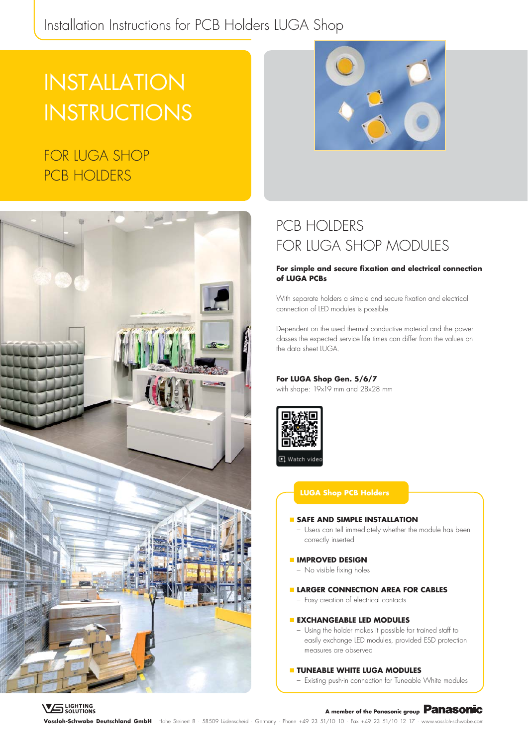### Installation Instructions for PCB Holders LUGA Shop

# INSTALLATION **INSTRUCTIONS**

### FOR LUGA SHOP PCB HOLDERS



### PCB HOIDERS FOR LUGA SHOP MODULES

#### **For simple and secure fixation and electrical connection of LUGA PCBs**

With separate holders a simple and secure fixation and electrical connection of LED modules is possible.

Dependent on the used thermal conductive material and the power classes the expected service life times can differ from the values on the data sheet ILIGA

#### **For LUGA Shop Gen. 5/6/7**

with shape: 19x19 mm and 28x28 mm



#### **LUGA Shop PCB Holders**

#### **SAFE AND SIMPLE INSTALLATION**

– Users can tell immediately whether the module has been correctly inserted

#### **IMPROVED DESIGN**

- No visible fixing holes
- **LARGER CONNECTION AREA FOR CABLES** 
	- Easy creation of electrical contacts

#### **EXCHANGEABLE LED MODULES**

– Using the holder makes it possible for trained staff to easily exchange LED modules, provided ESD protection measures are observed

#### **TUNEABLE WHITE LUGA MODULES**

– Existing push-in connection for Tuneable White modules

#### **VG** LIGHTING

### A member of the Panasonic group **Panasonic**

**Vossloh-Schwabe Deutschland GmbH** · Hohe Steinert 8 · 58509 Lüdenscheid · Germany · Phone +49 23 51/10 10 · Fax +49 23 51/10 12 17 · www.vossloh-schwabe.com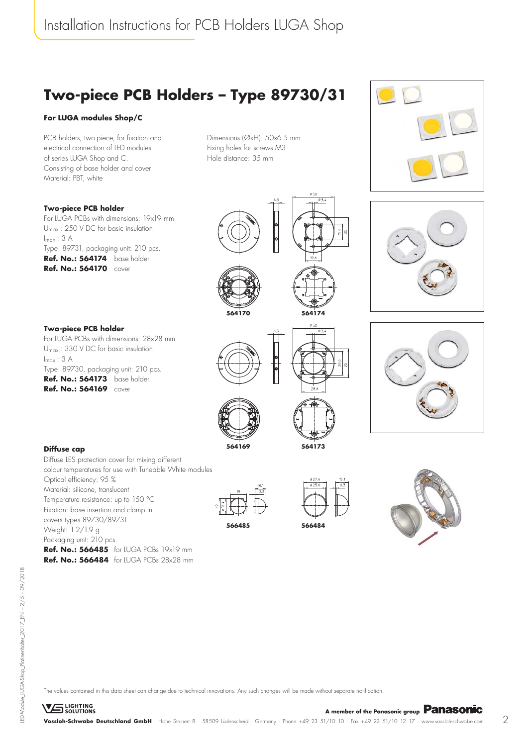## **Two-piece PCB Holders – Type 89730/31**

#### **For LUGA modules Shop/C**

**Two-piece PCB holder**

**Two-piece PCB holder**

 $I_{max}: 3 A$ 

PCB holders, two-piece, for fixation and electrical connection of LED modules of series LUGA Shop and C. Consisting of base holder and cover Material: PBT, white

For LUGA PCBs with dimensions: 19x19 mm Umax.: 250 V DC for basic insulation

For LUGA PCBs with dimensions: 28x28 mm Umax.: 330 V DC for basic insulation

Type: 89730, packaging unit: 210 pcs. **Ref. No.: 564173** base holder **Ref. No.: 564169** cover

Type: 89731, packaging unit: 210 pcs. **Ref. No.: 564174** base holder **Ref. No.: 564170** cover

Dimensions (ØxH): 50x6.5 mm Fixing holes for screws M3 Hole distance: 35 mm









 $I_{max}: 3 A$ 

Diffuse LES protection cover for mixing different colour temperatures for use with Tuneable White modules Optical efficiency: 95 % Material: silicone, translucent Temperature resistance: up to 150 °C Fixation: base insertion and clamp in covers types 89730/89731 Weight: 1.2/1.9 g Packaging unit: 210 pcs. **Ref. No.: 566485** for LUGA PCBs 19x19 mm **Ref. No.: 566484** for LUGA PCBs 28x28 mm

**564169**

**564170**

**566485 566484**



**564173**

**564174**

 $\phi$ 50



The values contained in this data sheet can change due to technical innovations. Any such changes will be made without separate notification.

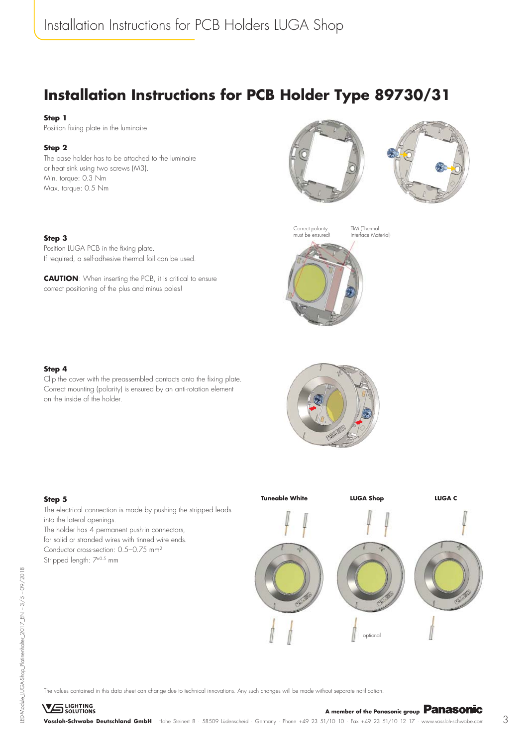### **Installation Instructions for PCB Holder Type 89730/31**

#### **Step 1**

Position fixing plate in the luminaire

#### **Step 2**

The base holder has to be attached to the luminaire or heat sink using two screws (M3). Min. torque: 0.3 Nm Max. torque: 0.5 Nm









TIM (Thermal Interface Material)

#### **Step 3** Position LUGA PCB in the fixing plate.

If required, a self-adhesive thermal foil can be used.

**CAUTION**: When inserting the PCB, it is critical to ensure correct positioning of the plus and minus poles!



Clip the cover with the preassembled contacts onto the fixing plate. Correct mounting (polarity) is ensured by an anti-rotation element on the inside of the holder.

#### **Step 5** The electrical connection is made by pushing the stripped leads into the lateral openings.

The holder has 4 permanent push-in connectors, for solid or stranded wires with tinned wire ends. Conductor cross-section: 0.5–0.75 mm² Stripped length: 7±0.5 mm



The values contained in this data sheet can change due to technical innovations. Any such changes will be made without separate notification.

**VS** LIGHTING SOLUTIONS<br>**Vossloh-Schwabe Deutschland GmbH** · Hohe Steinert 8 · 58509 Lüdenscheid · Germany · Phone +49 23 51/10 10 · Fax +49 23 51/10 12 17 · www.vossloh-schwabe.com 3

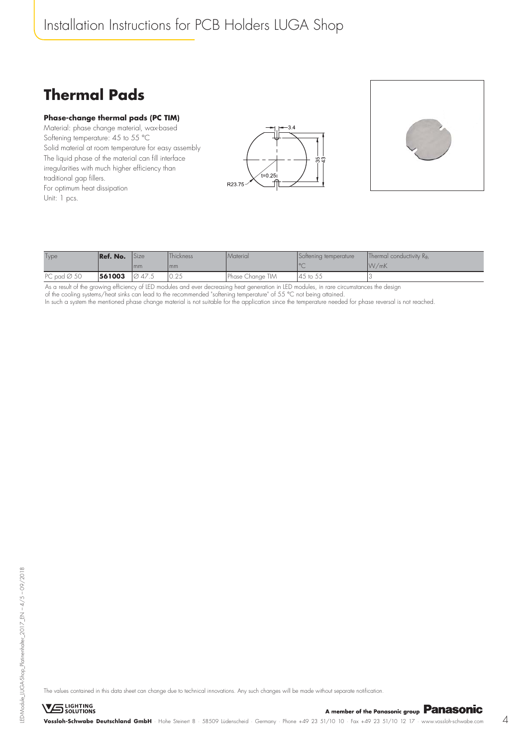### Installation Instructions for PCB Holders LUGA Shop

### **Thermal Pads**

#### **Phase-change thermal pads (PC TIM)**

Material: phase change material, wax-based Softening temperature: 45 to 55 °C Solid material at room temperature for easy assembly The liquid phase of the material can fill interface irregularities with much higher efficiency than traditional gap fillers. For optimum heat dissipation Unit: 1 pcs.





| Type                    | Ref. No. | <b>Size</b> | <b>Thickness</b>            | <i>Material</i>  | Softening temperature | Thermal conductivity $R_{th}$ |
|-------------------------|----------|-------------|-----------------------------|------------------|-----------------------|-------------------------------|
|                         |          | l mm        | I mm                        |                  |                       | $\frac{1}{W/mK}$              |
| PC pad $\varnothing$ 50 | 561003   | 1047.5      | $\cap$ $\cap$ $\in$<br>V.ZJ | Phase Change TIM | 45 to 55              |                               |

As a result of the growing efficiency of LED modules and ever decreasing heat generation in LED modules, in rare circumstances the design of the cooling systems/heat sinks can lead to the recommended "softening temperature" of 55 °C not being attained. In such a system the mentioned phase change material is not suitable for the application since the temperature needed for phase reversal is not reached.

The values contained in this data sheet can change due to technical innovations. Any such changes will be made without separate notification.

**VS** LIGHTING **V**ossloh-Schwabe Deutschland GmbH · Hohe Steinert 8 · 58509 Lüdenscheid · Germany · Phone +49 23 51/10 10 · Fax +49 23 51/10 12 17 · www.vossloh-schwabe.com 4<br>**Vossloh-Schwabe Deutschland GmbH** · Hohe Steinert 8 · 58509 L